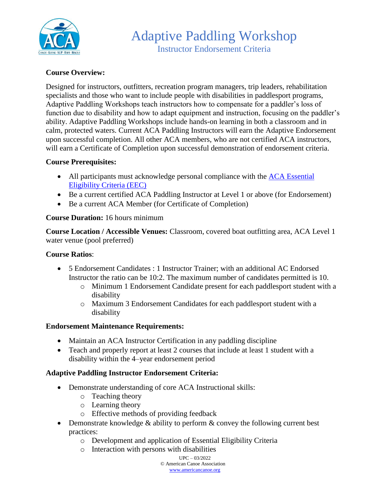

# **Course Overview:**

Designed for instructors, outfitters, recreation program managers, trip leaders, rehabilitation specialists and those who want to include people with disabilities in paddlesport programs, Adaptive Paddling Workshops teach instructors how to compensate for a paddler's loss of function due to disability and how to adapt equipment and instruction, focusing on the paddler's ability. Adaptive Paddling Workshops include hands-on learning in both a classroom and in calm, protected waters. Current ACA Paddling Instructors will earn the Adaptive Endorsement upon successful completion. All other ACA members, who are not certified ACA instructors, will earn a Certificate of Completion upon successful demonstration of endorsement criteria.

# **Course Prerequisites:**

- All participants must acknowledge personal compliance with the ACA Essential [Eligibility Criteria \(EEC\)](https://americancanoe.org/essential-eligibility-criteria/)
- Be a current certified ACA Paddling Instructor at Level 1 or above (for Endorsement)
- Be a current ACA Member (for Certificate of Completion)

# **Course Duration:** 16 hours minimum

**Course Location / Accessible Venues:** Classroom, covered boat outfitting area, ACA Level 1 water venue (pool preferred)

#### **Course Ratios**:

- 5 Endorsement Candidates : 1 Instructor Trainer; with an additional AC Endorsed Instructor the ratio can be 10:2. The maximum number of candidates permitted is 10.
	- o Minimum 1 Endorsement Candidate present for each paddlesport student with a disability
	- o Maximum 3 Endorsement Candidates for each paddlesport student with a disability

#### **Endorsement Maintenance Requirements:**

- Maintain an ACA Instructor Certification in any paddling discipline
- Teach and properly report at least 2 courses that include at least 1 student with a disability within the 4–year endorsement period

# **Adaptive Paddling Instructor Endorsement Criteria:**

- Demonstrate understanding of core ACA Instructional skills:
	- o Teaching theory
	- o Learning theory
	- o Effective methods of providing feedback
- Demonstrate knowledge  $&$  ability to perform  $&$  convey the following current best practices:
	- o Development and application of Essential Eligibility Criteria
	- o Interaction with persons with disabilities